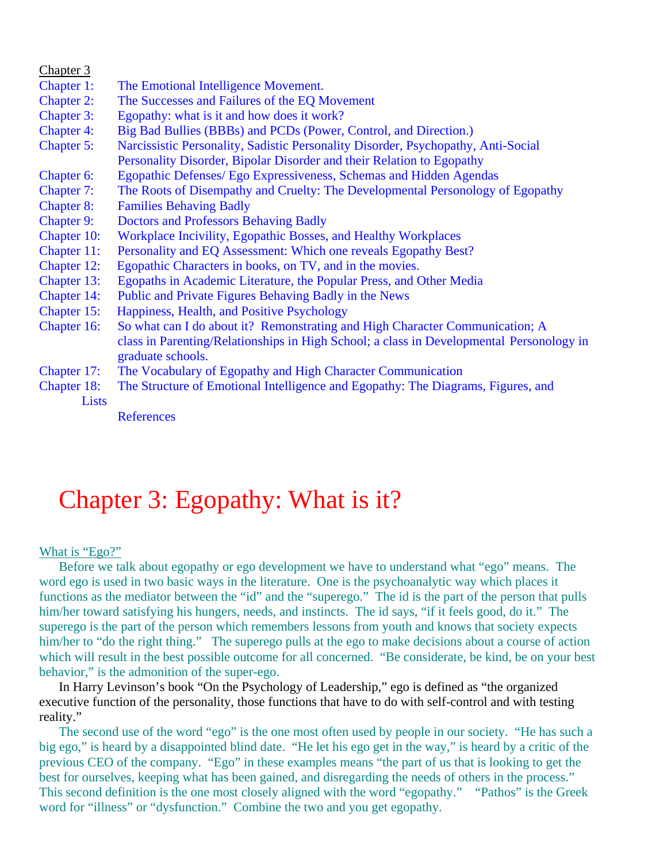| Chapter 3         |                                                                                          |
|-------------------|------------------------------------------------------------------------------------------|
| Chapter 1:        | The Emotional Intelligence Movement.                                                     |
| <b>Chapter 2:</b> | The Successes and Failures of the EQ Movement                                            |
| <b>Chapter 3:</b> | Egopathy: what is it and how does it work?                                               |
| <b>Chapter 4:</b> | Big Bad Bullies (BBBs) and PCDs (Power, Control, and Direction.)                         |
| Chapter 5:        | Narcissistic Personality, Sadistic Personality Disorder, Psychopathy, Anti-Social        |
|                   | Personality Disorder, Bipolar Disorder and their Relation to Egopathy                    |
| Chapter 6:        | Egopathic Defenses/ Ego Expressiveness, Schemas and Hidden Agendas                       |
| Chapter 7:        | The Roots of Disempathy and Cruelty: The Developmental Personology of Egopathy           |
| <b>Chapter 8:</b> | <b>Families Behaving Badly</b>                                                           |
| <b>Chapter 9:</b> | <b>Doctors and Professors Behaving Badly</b>                                             |
| Chapter 10:       | Workplace Incivility, Egopathic Bosses, and Healthy Workplaces                           |
| Chapter 11:       | Personality and EQ Assessment: Which one reveals Egopathy Best?                          |
| Chapter 12:       | Egopathic Characters in books, on TV, and in the movies.                                 |
| Chapter 13:       | Egopaths in Academic Literature, the Popular Press, and Other Media                      |
| Chapter 14:       | Public and Private Figures Behaving Badly in the News                                    |
| Chapter 15:       | Happiness, Health, and Positive Psychology                                               |
| Chapter 16:       | So what can I do about it? Remonstrating and High Character Communication; A             |
|                   | class in Parenting/Relationships in High School; a class in Developmental Personology in |
|                   | graduate schools.                                                                        |
| Chapter 17:       | The Vocabulary of Egopathy and High Character Communication                              |
| Chapter 18:       | The Structure of Emotional Intelligence and Egopathy: The Diagrams, Figures, and         |
| Lists             |                                                                                          |
|                   | $D$ ofononogo                                                                            |

References

# Chapter 3: Egopathy: What is it?

## What is "Ego?"

Before we talk about egopathy or ego development we have to understand what "ego" means. The word ego is used in two basic ways in the literature. One is the psychoanalytic way which places it functions as the mediator between the "id" and the "superego." The id is the part of the person that pulls him/her toward satisfying his hungers, needs, and instincts. The id says, "if it feels good, do it." The superego is the part of the person which remembers lessons from youth and knows that society expects him/her to "do the right thing." The superego pulls at the ego to make decisions about a course of action which will result in the best possible outcome for all concerned. "Be considerate, be kind, be on your best behavior," is the admonition of the super-ego.

 In Harry Levinson's book "On the Psychology of Leadership," ego is defined as "the organized executive function of the personality, those functions that have to do with self-control and with testing reality."

 The second use of the word "ego" is the one most often used by people in our society. "He has such a big ego," is heard by a disappointed blind date. "He let his ego get in the way," is heard by a critic of the previous CEO of the company. "Ego" in these examples means "the part of us that is looking to get the best for ourselves, keeping what has been gained, and disregarding the needs of others in the process." This second definition is the one most closely aligned with the word "egopathy." "Pathos" is the Greek word for "illness" or "dysfunction." Combine the two and you get egopathy.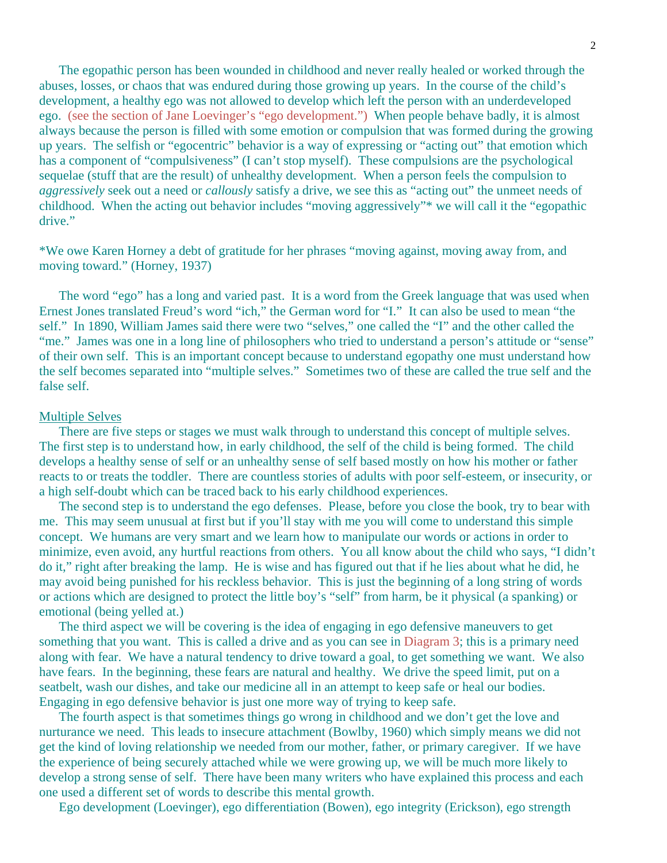The egopathic person has been wounded in childhood and never really healed or worked through the abuses, losses, or chaos that was endured during those growing up years. In the course of the child's development, a healthy ego was not allowed to develop which left the person with an underdeveloped ego. (see the section of Jane Loevinger's "ego development.") When people behave badly, it is almost always because the person is filled with some emotion or compulsion that was formed during the growing up years. The selfish or "egocentric" behavior is a way of expressing or "acting out" that emotion which has a component of "compulsiveness" (I can't stop myself). These compulsions are the psychological sequelae (stuff that are the result) of unhealthy development. When a person feels the compulsion to *aggressively* seek out a need or *callously* satisfy a drive, we see this as "acting out" the unmeet needs of childhood. When the acting out behavior includes "moving aggressively"\* we will call it the "egopathic drive."

\*We owe Karen Horney a debt of gratitude for her phrases "moving against, moving away from, and moving toward." (Horney, 1937)

 The word "ego" has a long and varied past. It is a word from the Greek language that was used when Ernest Jones translated Freud's word "ich," the German word for "I." It can also be used to mean "the self." In 1890, William James said there were two "selves," one called the "I" and the other called the "me." James was one in a long line of philosophers who tried to understand a person's attitude or "sense" of their own self. This is an important concept because to understand egopathy one must understand how the self becomes separated into "multiple selves." Sometimes two of these are called the true self and the false self.

### Multiple Selves

 There are five steps or stages we must walk through to understand this concept of multiple selves. The first step is to understand how, in early childhood, the self of the child is being formed. The child develops a healthy sense of self or an unhealthy sense of self based mostly on how his mother or father reacts to or treats the toddler. There are countless stories of adults with poor self-esteem, or insecurity, or a high self-doubt which can be traced back to his early childhood experiences.

 The second step is to understand the ego defenses. Please, before you close the book, try to bear with me. This may seem unusual at first but if you'll stay with me you will come to understand this simple concept. We humans are very smart and we learn how to manipulate our words or actions in order to minimize, even avoid, any hurtful reactions from others. You all know about the child who says, "I didn't do it," right after breaking the lamp. He is wise and has figured out that if he lies about what he did, he may avoid being punished for his reckless behavior. This is just the beginning of a long string of words or actions which are designed to protect the little boy's "self" from harm, be it physical (a spanking) or emotional (being yelled at.)

 The third aspect we will be covering is the idea of engaging in ego defensive maneuvers to get something that you want. This is called a drive and as you can see in Diagram 3; this is a primary need along with fear. We have a natural tendency to drive toward a goal, to get something we want. We also have fears. In the beginning, these fears are natural and healthy. We drive the speed limit, put on a seatbelt, wash our dishes, and take our medicine all in an attempt to keep safe or heal our bodies. Engaging in ego defensive behavior is just one more way of trying to keep safe.

 The fourth aspect is that sometimes things go wrong in childhood and we don't get the love and nurturance we need. This leads to insecure attachment (Bowlby, 1960) which simply means we did not get the kind of loving relationship we needed from our mother, father, or primary caregiver. If we have the experience of being securely attached while we were growing up, we will be much more likely to develop a strong sense of self. There have been many writers who have explained this process and each one used a different set of words to describe this mental growth.

Ego development (Loevinger), ego differentiation (Bowen), ego integrity (Erickson), ego strength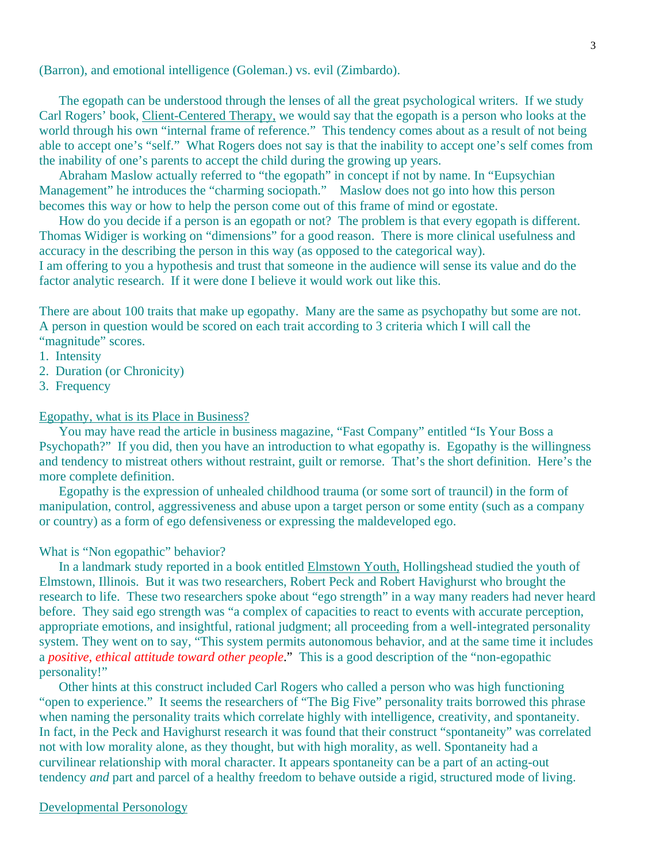(Barron), and emotional intelligence (Goleman.) vs. evil (Zimbardo).

 The egopath can be understood through the lenses of all the great psychological writers. If we study Carl Rogers' book, Client-Centered Therapy, we would say that the egopath is a person who looks at the world through his own "internal frame of reference." This tendency comes about as a result of not being able to accept one's "self." What Rogers does not say is that the inability to accept one's self comes from the inability of one's parents to accept the child during the growing up years.

 Abraham Maslow actually referred to "the egopath" in concept if not by name. In "Eupsychian Management" he introduces the "charming sociopath." Maslow does not go into how this person becomes this way or how to help the person come out of this frame of mind or egostate.

 How do you decide if a person is an egopath or not? The problem is that every egopath is different. Thomas Widiger is working on "dimensions" for a good reason. There is more clinical usefulness and accuracy in the describing the person in this way (as opposed to the categorical way).

I am offering to you a hypothesis and trust that someone in the audience will sense its value and do the factor analytic research. If it were done I believe it would work out like this.

There are about 100 traits that make up egopathy. Many are the same as psychopathy but some are not. A person in question would be scored on each trait according to 3 criteria which I will call the "magnitude" scores.

- 1. Intensity
- 2. Duration (or Chronicity)
- 3. Frequency

## Egopathy, what is its Place in Business?

 You may have read the article in business magazine, "Fast Company" entitled "Is Your Boss a Psychopath?" If you did, then you have an introduction to what egopathy is. Egopathy is the willingness and tendency to mistreat others without restraint, guilt or remorse. That's the short definition. Here's the more complete definition.

 Egopathy is the expression of unhealed childhood trauma (or some sort of trauncil) in the form of manipulation, control, aggressiveness and abuse upon a target person or some entity (such as a company or country) as a form of ego defensiveness or expressing the maldeveloped ego.

## What is "Non egopathic" behavior?

 In a landmark study reported in a book entitled Elmstown Youth, Hollingshead studied the youth of Elmstown, Illinois. But it was two researchers, Robert Peck and Robert Havighurst who brought the research to life. These two researchers spoke about "ego strength" in a way many readers had never heard before. They said ego strength was "a complex of capacities to react to events with accurate perception, appropriate emotions, and insightful, rational judgment; all proceeding from a well-integrated personality system. They went on to say, "This system permits autonomous behavior, and at the same time it includes a *positive, ethical attitude toward other people*." This is a good description of the "non-egopathic personality!"

 Other hints at this construct included Carl Rogers who called a person who was high functioning "open to experience." It seems the researchers of "The Big Five" personality traits borrowed this phrase when naming the personality traits which correlate highly with intelligence, creativity, and spontaneity. In fact, in the Peck and Havighurst research it was found that their construct "spontaneity" was correlated not with low morality alone, as they thought, but with high morality, as well. Spontaneity had a curvilinear relationship with moral character. It appears spontaneity can be a part of an acting-out tendency *and* part and parcel of a healthy freedom to behave outside a rigid, structured mode of living.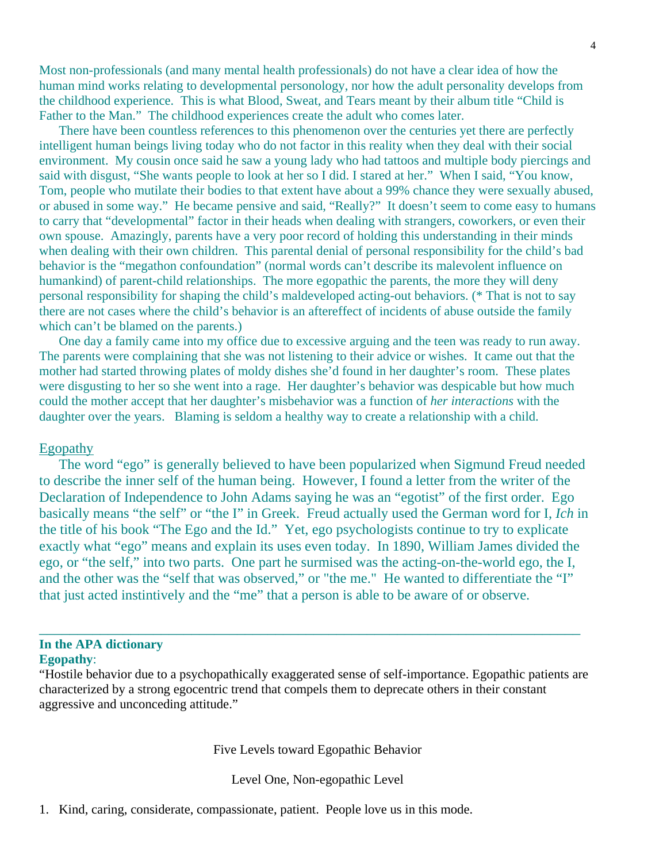Most non-professionals (and many mental health professionals) do not have a clear idea of how the human mind works relating to developmental personology, nor how the adult personality develops from the childhood experience. This is what Blood, Sweat, and Tears meant by their album title "Child is Father to the Man." The childhood experiences create the adult who comes later.

 There have been countless references to this phenomenon over the centuries yet there are perfectly intelligent human beings living today who do not factor in this reality when they deal with their social environment. My cousin once said he saw a young lady who had tattoos and multiple body piercings and said with disgust, "She wants people to look at her so I did. I stared at her." When I said, "You know, Tom, people who mutilate their bodies to that extent have about a 99% chance they were sexually abused, or abused in some way." He became pensive and said, "Really?" It doesn't seem to come easy to humans to carry that "developmental" factor in their heads when dealing with strangers, coworkers, or even their own spouse. Amazingly, parents have a very poor record of holding this understanding in their minds when dealing with their own children. This parental denial of personal responsibility for the child's bad behavior is the "megathon confoundation" (normal words can't describe its malevolent influence on humankind) of parent-child relationships. The more egopathic the parents, the more they will deny personal responsibility for shaping the child's maldeveloped acting-out behaviors. (\* That is not to say there are not cases where the child's behavior is an aftereffect of incidents of abuse outside the family which can't be blamed on the parents.)

 One day a family came into my office due to excessive arguing and the teen was ready to run away. The parents were complaining that she was not listening to their advice or wishes. It came out that the mother had started throwing plates of moldy dishes she'd found in her daughter's room. These plates were disgusting to her so she went into a rage. Her daughter's behavior was despicable but how much could the mother accept that her daughter's misbehavior was a function of *her interactions* with the daughter over the years. Blaming is seldom a healthy way to create a relationship with a child.

## Egopathy

 The word "ego" is generally believed to have been popularized when Sigmund Freud needed to describe the inner self of the human being. However, I found a letter from the writer of the Declaration of Independence to John Adams saying he was an "egotist" of the first order. Ego basically means "the self" or "the I" in Greek. Freud actually used the German word for I, *Ich* in the title of his book "The Ego and the Id." Yet, ego psychologists continue to try to explicate exactly what "ego" means and explain its uses even today. In 1890, William James divided the ego, or "the self," into two parts. One part he surmised was the acting-on-the-world ego, the I, and the other was the "self that was observed," or "the me." He wanted to differentiate the "I" that just acted instintively and the "me" that a person is able to be aware of or observe.

## **In the APA dictionary Egopathy**:

"Hostile behavior due to a psychopathically exaggerated sense of self-importance. Egopathic patients are characterized by a strong egocentric trend that compels them to deprecate others in their constant aggressive and unconceding attitude."

\_\_\_\_\_\_\_\_\_\_\_\_\_\_\_\_\_\_\_\_\_\_\_\_\_\_\_\_\_\_\_\_\_\_\_\_\_\_\_\_\_\_\_\_\_\_\_\_\_\_\_\_\_\_\_\_\_\_\_\_\_\_\_\_\_\_\_\_\_\_\_

## Five Levels toward Egopathic Behavior

Level One, Non-egopathic Level

1. Kind, caring, considerate, compassionate, patient. People love us in this mode.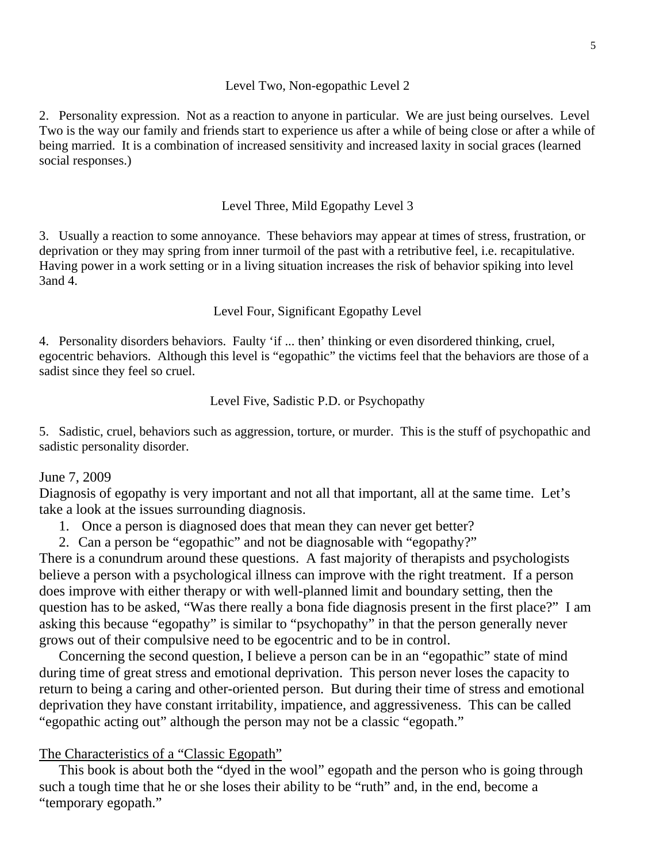#### 5

#### Level Two, Non-egopathic Level 2

2. Personality expression. Not as a reaction to anyone in particular. We are just being ourselves. Level Two is the way our family and friends start to experience us after a while of being close or after a while of being married. It is a combination of increased sensitivity and increased laxity in social graces (learned social responses.)

## Level Three, Mild Egopathy Level 3

3. Usually a reaction to some annoyance. These behaviors may appear at times of stress, frustration, or deprivation or they may spring from inner turmoil of the past with a retributive feel, i.e. recapitulative. Having power in a work setting or in a living situation increases the risk of behavior spiking into level 3and 4.

## Level Four, Significant Egopathy Level

4. Personality disorders behaviors. Faulty 'if ... then' thinking or even disordered thinking, cruel, egocentric behaviors. Although this level is "egopathic" the victims feel that the behaviors are those of a sadist since they feel so cruel.

## Level Five, Sadistic P.D. or Psychopathy

5. Sadistic, cruel, behaviors such as aggression, torture, or murder. This is the stuff of psychopathic and sadistic personality disorder.

## June 7, 2009

Diagnosis of egopathy is very important and not all that important, all at the same time. Let's take a look at the issues surrounding diagnosis.

1. Once a person is diagnosed does that mean they can never get better?

2. Can a person be "egopathic" and not be diagnosable with "egopathy?"

There is a conundrum around these questions. A fast majority of therapists and psychologists believe a person with a psychological illness can improve with the right treatment. If a person does improve with either therapy or with well-planned limit and boundary setting, then the question has to be asked, "Was there really a bona fide diagnosis present in the first place?" I am asking this because "egopathy" is similar to "psychopathy" in that the person generally never grows out of their compulsive need to be egocentric and to be in control.

 Concerning the second question, I believe a person can be in an "egopathic" state of mind during time of great stress and emotional deprivation. This person never loses the capacity to return to being a caring and other-oriented person. But during their time of stress and emotional deprivation they have constant irritability, impatience, and aggressiveness. This can be called "egopathic acting out" although the person may not be a classic "egopath."

## The Characteristics of a "Classic Egopath"

 This book is about both the "dyed in the wool" egopath and the person who is going through such a tough time that he or she loses their ability to be "ruth" and, in the end, become a "temporary egopath."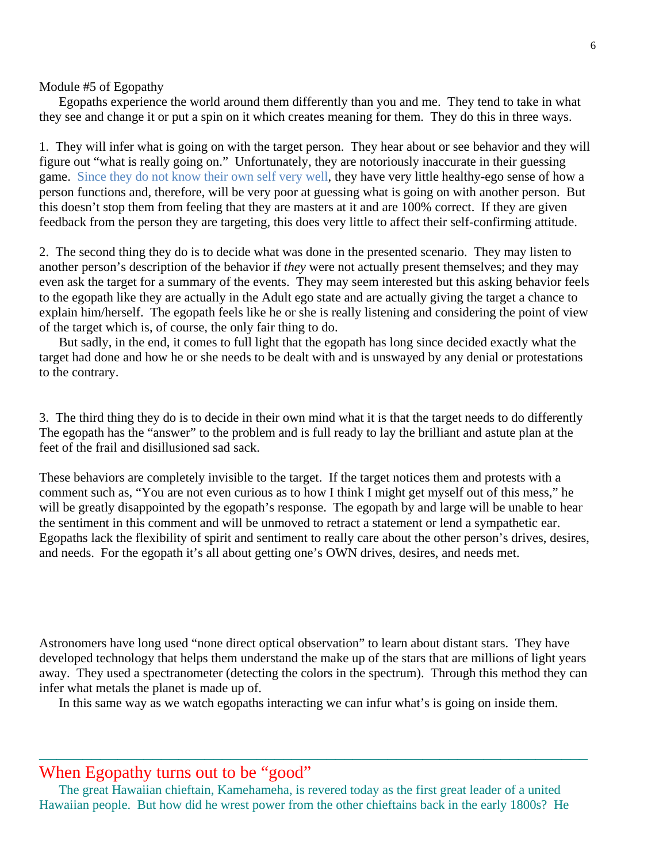Module #5 of Egopathy

 Egopaths experience the world around them differently than you and me. They tend to take in what they see and change it or put a spin on it which creates meaning for them. They do this in three ways.

1. They will infer what is going on with the target person. They hear about or see behavior and they will figure out "what is really going on." Unfortunately, they are notoriously inaccurate in their guessing game. Since they do not know their own self very well, they have very little healthy-ego sense of how a person functions and, therefore, will be very poor at guessing what is going on with another person. But this doesn't stop them from feeling that they are masters at it and are 100% correct. If they are given feedback from the person they are targeting, this does very little to affect their self-confirming attitude.

2. The second thing they do is to decide what was done in the presented scenario. They may listen to another person's description of the behavior if *they* were not actually present themselves; and they may even ask the target for a summary of the events. They may seem interested but this asking behavior feels to the egopath like they are actually in the Adult ego state and are actually giving the target a chance to explain him/herself. The egopath feels like he or she is really listening and considering the point of view of the target which is, of course, the only fair thing to do.

 But sadly, in the end, it comes to full light that the egopath has long since decided exactly what the target had done and how he or she needs to be dealt with and is unswayed by any denial or protestations to the contrary.

3. The third thing they do is to decide in their own mind what it is that the target needs to do differently The egopath has the "answer" to the problem and is full ready to lay the brilliant and astute plan at the feet of the frail and disillusioned sad sack.

These behaviors are completely invisible to the target. If the target notices them and protests with a comment such as, "You are not even curious as to how I think I might get myself out of this mess," he will be greatly disappointed by the egopath's response. The egopath by and large will be unable to hear the sentiment in this comment and will be unmoved to retract a statement or lend a sympathetic ear. Egopaths lack the flexibility of spirit and sentiment to really care about the other person's drives, desires, and needs. For the egopath it's all about getting one's OWN drives, desires, and needs met.

Astronomers have long used "none direct optical observation" to learn about distant stars. They have developed technology that helps them understand the make up of the stars that are millions of light years away. They used a spectranometer (detecting the colors in the spectrum). Through this method they can infer what metals the planet is made up of.

In this same way as we watch egopaths interacting we can infur what's is going on inside them.

\_\_\_\_\_\_\_\_\_\_\_\_\_\_\_\_\_\_\_\_\_\_\_\_\_\_\_\_\_\_\_\_\_\_\_\_\_\_\_\_\_\_\_\_\_\_\_\_\_\_\_\_\_\_\_\_\_\_\_\_\_\_\_

# When Egopathy turns out to be "good"

The great Hawaiian chieftain, Kamehameha, is revered today as the first great leader of a united Hawaiian people. But how did he wrest power from the other chieftains back in the early 1800s? He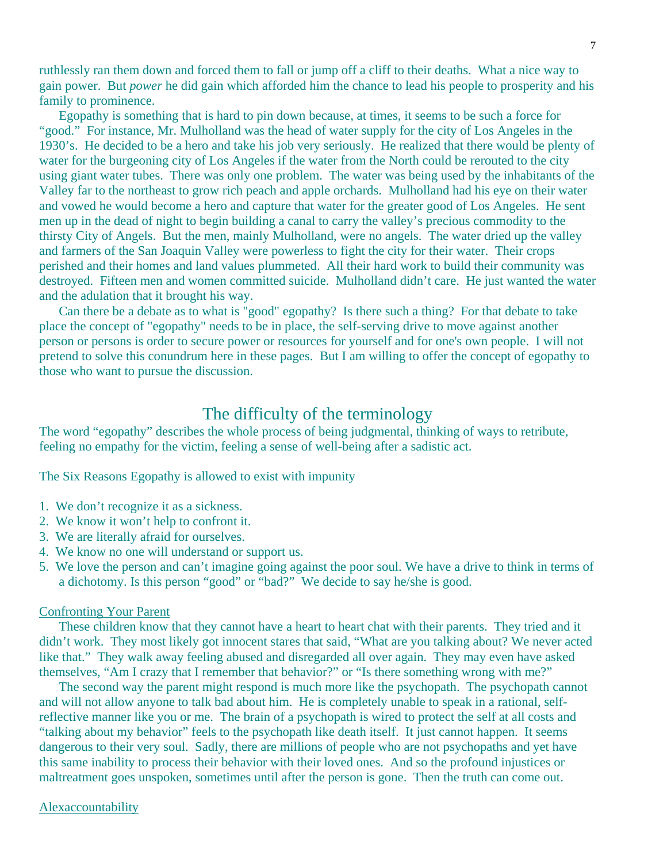ruthlessly ran them down and forced them to fall or jump off a cliff to their deaths. What a nice way to gain power. But *power* he did gain which afforded him the chance to lead his people to prosperity and his family to prominence.

 Egopathy is something that is hard to pin down because, at times, it seems to be such a force for "good." For instance, Mr. Mulholland was the head of water supply for the city of Los Angeles in the 1930's. He decided to be a hero and take his job very seriously. He realized that there would be plenty of water for the burgeoning city of Los Angeles if the water from the North could be rerouted to the city using giant water tubes. There was only one problem. The water was being used by the inhabitants of the Valley far to the northeast to grow rich peach and apple orchards. Mulholland had his eye on their water and vowed he would become a hero and capture that water for the greater good of Los Angeles. He sent men up in the dead of night to begin building a canal to carry the valley's precious commodity to the thirsty City of Angels. But the men, mainly Mulholland, were no angels. The water dried up the valley and farmers of the San Joaquin Valley were powerless to fight the city for their water. Their crops perished and their homes and land values plummeted. All their hard work to build their community was destroyed. Fifteen men and women committed suicide. Mulholland didn't care. He just wanted the water and the adulation that it brought his way.

 Can there be a debate as to what is "good" egopathy? Is there such a thing? For that debate to take place the concept of "egopathy" needs to be in place, the self-serving drive to move against another person or persons is order to secure power or resources for yourself and for one's own people. I will not pretend to solve this conundrum here in these pages. But I am willing to offer the concept of egopathy to those who want to pursue the discussion.

# The difficulty of the terminology

The word "egopathy" describes the whole process of being judgmental, thinking of ways to retribute, feeling no empathy for the victim, feeling a sense of well-being after a sadistic act.

The Six Reasons Egopathy is allowed to exist with impunity

- 1. We don't recognize it as a sickness.
- 2. We know it won't help to confront it.
- 3. We are literally afraid for ourselves.
- 4. We know no one will understand or support us.
- 5. We love the person and can't imagine going against the poor soul. We have a drive to think in terms of a dichotomy. Is this person "good" or "bad?" We decide to say he/she is good.

## Confronting Your Parent

 These children know that they cannot have a heart to heart chat with their parents. They tried and it didn't work. They most likely got innocent stares that said, "What are you talking about? We never acted like that." They walk away feeling abused and disregarded all over again. They may even have asked themselves, "Am I crazy that I remember that behavior?" or "Is there something wrong with me?"

 The second way the parent might respond is much more like the psychopath. The psychopath cannot and will not allow anyone to talk bad about him. He is completely unable to speak in a rational, selfreflective manner like you or me. The brain of a psychopath is wired to protect the self at all costs and "talking about my behavior" feels to the psychopath like death itself. It just cannot happen. It seems dangerous to their very soul. Sadly, there are millions of people who are not psychopaths and yet have this same inability to process their behavior with their loved ones. And so the profound injustices or maltreatment goes unspoken, sometimes until after the person is gone. Then the truth can come out.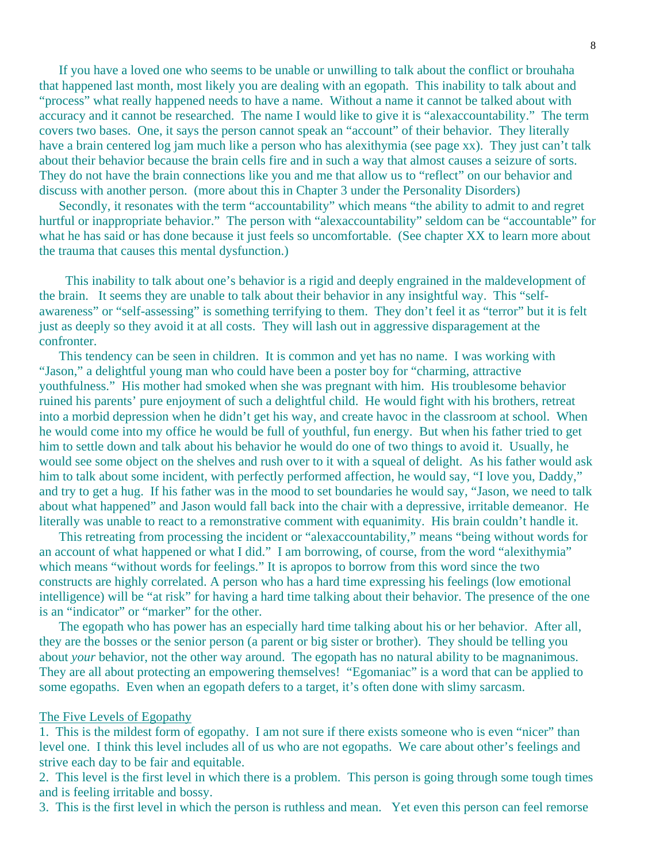If you have a loved one who seems to be unable or unwilling to talk about the conflict or brouhaha that happened last month, most likely you are dealing with an egopath. This inability to talk about and "process" what really happened needs to have a name. Without a name it cannot be talked about with accuracy and it cannot be researched. The name I would like to give it is "alexaccountability." The term covers two bases. One, it says the person cannot speak an "account" of their behavior. They literally have a brain centered log jam much like a person who has alexithymia (see page xx). They just can't talk about their behavior because the brain cells fire and in such a way that almost causes a seizure of sorts. They do not have the brain connections like you and me that allow us to "reflect" on our behavior and discuss with another person. (more about this in Chapter 3 under the Personality Disorders)

 Secondly, it resonates with the term "accountability" which means "the ability to admit to and regret hurtful or inappropriate behavior." The person with "alexaccountability" seldom can be "accountable" for what he has said or has done because it just feels so uncomfortable. (See chapter XX to learn more about the trauma that causes this mental dysfunction.)

 This inability to talk about one's behavior is a rigid and deeply engrained in the maldevelopment of the brain. It seems they are unable to talk about their behavior in any insightful way. This "selfawareness" or "self-assessing" is something terrifying to them. They don't feel it as "terror" but it is felt just as deeply so they avoid it at all costs. They will lash out in aggressive disparagement at the confronter.

 This tendency can be seen in children. It is common and yet has no name. I was working with "Jason," a delightful young man who could have been a poster boy for "charming, attractive youthfulness." His mother had smoked when she was pregnant with him. His troublesome behavior ruined his parents' pure enjoyment of such a delightful child. He would fight with his brothers, retreat into a morbid depression when he didn't get his way, and create havoc in the classroom at school. When he would come into my office he would be full of youthful, fun energy. But when his father tried to get him to settle down and talk about his behavior he would do one of two things to avoid it. Usually, he would see some object on the shelves and rush over to it with a squeal of delight. As his father would ask him to talk about some incident, with perfectly performed affection, he would say, "I love you, Daddy," and try to get a hug. If his father was in the mood to set boundaries he would say, "Jason, we need to talk about what happened" and Jason would fall back into the chair with a depressive, irritable demeanor. He literally was unable to react to a remonstrative comment with equanimity. His brain couldn't handle it.

 This retreating from processing the incident or "alexaccountability," means "being without words for an account of what happened or what I did." I am borrowing, of course, from the word "alexithymia" which means "without words for feelings." It is apropos to borrow from this word since the two constructs are highly correlated. A person who has a hard time expressing his feelings (low emotional intelligence) will be "at risk" for having a hard time talking about their behavior. The presence of the one is an "indicator" or "marker" for the other.

 The egopath who has power has an especially hard time talking about his or her behavior. After all, they are the bosses or the senior person (a parent or big sister or brother). They should be telling you about *your* behavior, not the other way around. The egopath has no natural ability to be magnanimous. They are all about protecting an empowering themselves! "Egomaniac" is a word that can be applied to some egopaths. Even when an egopath defers to a target, it's often done with slimy sarcasm.

## The Five Levels of Egopathy

1. This is the mildest form of egopathy. I am not sure if there exists someone who is even "nicer" than level one. I think this level includes all of us who are not egopaths. We care about other's feelings and strive each day to be fair and equitable.

2. This level is the first level in which there is a problem. This person is going through some tough times and is feeling irritable and bossy.

3. This is the first level in which the person is ruthless and mean. Yet even this person can feel remorse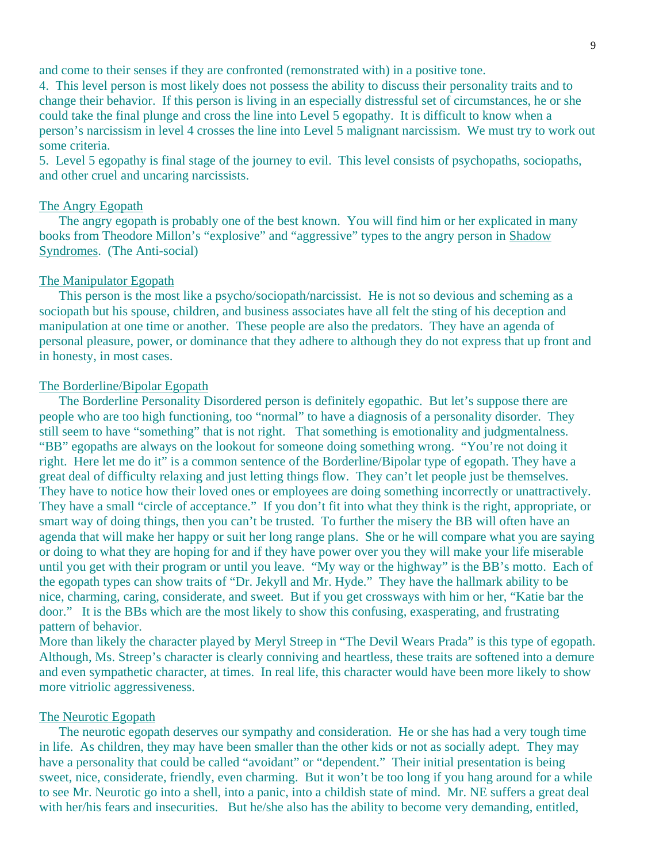and come to their senses if they are confronted (remonstrated with) in a positive tone.

4. This level person is most likely does not possess the ability to discuss their personality traits and to change their behavior. If this person is living in an especially distressful set of circumstances, he or she could take the final plunge and cross the line into Level 5 egopathy. It is difficult to know when a person's narcissism in level 4 crosses the line into Level 5 malignant narcissism. We must try to work out some criteria.

5. Level 5 egopathy is final stage of the journey to evil. This level consists of psychopaths, sociopaths, and other cruel and uncaring narcissists.

## The Angry Egopath

 The angry egopath is probably one of the best known. You will find him or her explicated in many books from Theodore Millon's "explosive" and "aggressive" types to the angry person in Shadow Syndromes. (The Anti-social)

## The Manipulator Egopath

 This person is the most like a psycho/sociopath/narcissist. He is not so devious and scheming as a sociopath but his spouse, children, and business associates have all felt the sting of his deception and manipulation at one time or another. These people are also the predators. They have an agenda of personal pleasure, power, or dominance that they adhere to although they do not express that up front and in honesty, in most cases.

### The Borderline/Bipolar Egopath

 The Borderline Personality Disordered person is definitely egopathic. But let's suppose there are people who are too high functioning, too "normal" to have a diagnosis of a personality disorder. They still seem to have "something" that is not right. That something is emotionality and judgmentalness. "BB" egopaths are always on the lookout for someone doing something wrong. "You're not doing it right. Here let me do it" is a common sentence of the Borderline/Bipolar type of egopath. They have a great deal of difficulty relaxing and just letting things flow. They can't let people just be themselves. They have to notice how their loved ones or employees are doing something incorrectly or unattractively. They have a small "circle of acceptance." If you don't fit into what they think is the right, appropriate, or smart way of doing things, then you can't be trusted. To further the misery the BB will often have an agenda that will make her happy or suit her long range plans. She or he will compare what you are saying or doing to what they are hoping for and if they have power over you they will make your life miserable until you get with their program or until you leave. "My way or the highway" is the BB's motto. Each of the egopath types can show traits of "Dr. Jekyll and Mr. Hyde." They have the hallmark ability to be nice, charming, caring, considerate, and sweet. But if you get crossways with him or her, "Katie bar the door." It is the BBs which are the most likely to show this confusing, exasperating, and frustrating pattern of behavior.

More than likely the character played by Meryl Streep in "The Devil Wears Prada" is this type of egopath. Although, Ms. Streep's character is clearly conniving and heartless, these traits are softened into a demure and even sympathetic character, at times. In real life, this character would have been more likely to show more vitriolic aggressiveness.

## The Neurotic Egopath

 The neurotic egopath deserves our sympathy and consideration. He or she has had a very tough time in life. As children, they may have been smaller than the other kids or not as socially adept. They may have a personality that could be called "avoidant" or "dependent." Their initial presentation is being sweet, nice, considerate, friendly, even charming. But it won't be too long if you hang around for a while to see Mr. Neurotic go into a shell, into a panic, into a childish state of mind. Mr. NE suffers a great deal with her/his fears and insecurities. But he/she also has the ability to become very demanding, entitled,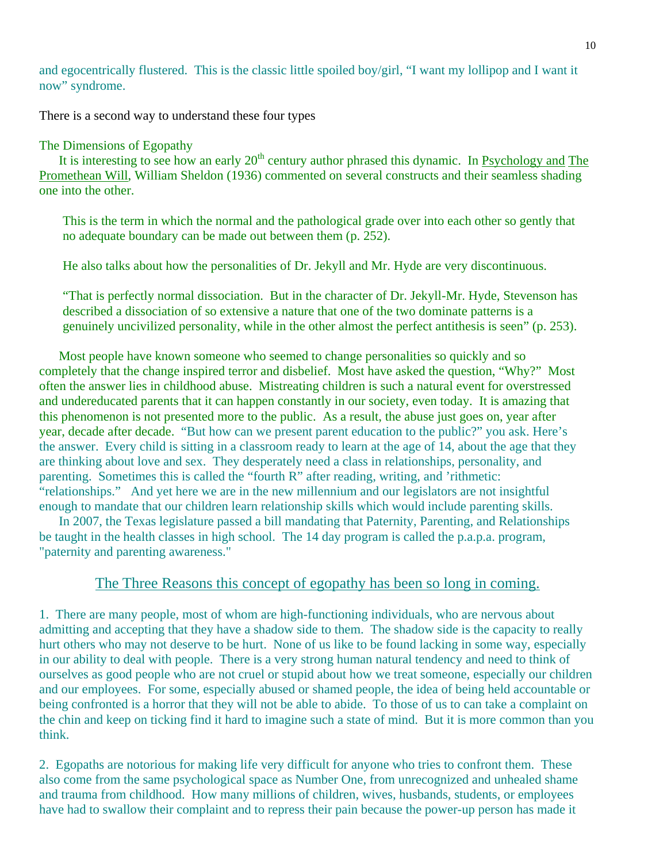and egocentrically flustered. This is the classic little spoiled boy/girl, "I want my lollipop and I want it now" syndrome.

There is a second way to understand these four types

## The Dimensions of Egopathy

It is interesting to see how an early  $20<sup>th</sup>$  century author phrased this dynamic. In Psychology and The Promethean Will, William Sheldon (1936) commented on several constructs and their seamless shading one into the other.

This is the term in which the normal and the pathological grade over into each other so gently that no adequate boundary can be made out between them (p. 252).

He also talks about how the personalities of Dr. Jekyll and Mr. Hyde are very discontinuous.

"That is perfectly normal dissociation. But in the character of Dr. Jekyll-Mr. Hyde, Stevenson has described a dissociation of so extensive a nature that one of the two dominate patterns is a genuinely uncivilized personality, while in the other almost the perfect antithesis is seen" (p. 253).

 Most people have known someone who seemed to change personalities so quickly and so completely that the change inspired terror and disbelief. Most have asked the question, "Why?" Most often the answer lies in childhood abuse. Mistreating children is such a natural event for overstressed and undereducated parents that it can happen constantly in our society, even today. It is amazing that this phenomenon is not presented more to the public. As a result, the abuse just goes on, year after year, decade after decade. "But how can we present parent education to the public?" you ask. Here's the answer. Every child is sitting in a classroom ready to learn at the age of 14, about the age that they are thinking about love and sex. They desperately need a class in relationships, personality, and parenting. Sometimes this is called the "fourth R" after reading, writing, and 'rithmetic: "relationships." And yet here we are in the new millennium and our legislators are not insightful enough to mandate that our children learn relationship skills which would include parenting skills.

 In 2007, the Texas legislature passed a bill mandating that Paternity, Parenting, and Relationships be taught in the health classes in high school. The 14 day program is called the p.a.p.a. program, "paternity and parenting awareness."

## The Three Reasons this concept of egopathy has been so long in coming.

1. There are many people, most of whom are high-functioning individuals, who are nervous about admitting and accepting that they have a shadow side to them. The shadow side is the capacity to really hurt others who may not deserve to be hurt. None of us like to be found lacking in some way, especially in our ability to deal with people. There is a very strong human natural tendency and need to think of ourselves as good people who are not cruel or stupid about how we treat someone, especially our children and our employees. For some, especially abused or shamed people, the idea of being held accountable or being confronted is a horror that they will not be able to abide. To those of us to can take a complaint on the chin and keep on ticking find it hard to imagine such a state of mind. But it is more common than you think.

2. Egopaths are notorious for making life very difficult for anyone who tries to confront them. These also come from the same psychological space as Number One, from unrecognized and unhealed shame and trauma from childhood. How many millions of children, wives, husbands, students, or employees have had to swallow their complaint and to repress their pain because the power-up person has made it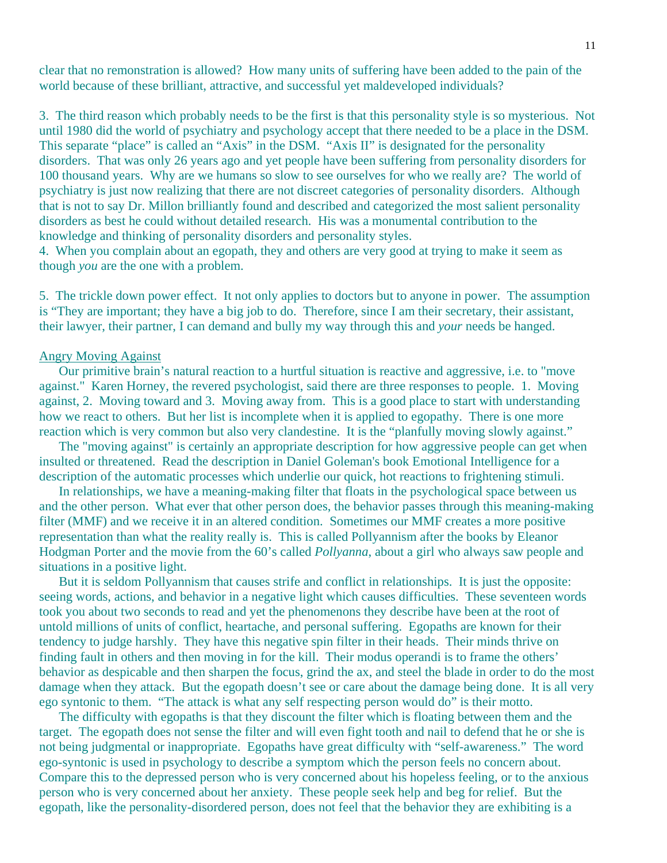clear that no remonstration is allowed? How many units of suffering have been added to the pain of the world because of these brilliant, attractive, and successful yet maldeveloped individuals?

3. The third reason which probably needs to be the first is that this personality style is so mysterious. Not until 1980 did the world of psychiatry and psychology accept that there needed to be a place in the DSM. This separate "place" is called an "Axis" in the DSM. "Axis II" is designated for the personality disorders. That was only 26 years ago and yet people have been suffering from personality disorders for 100 thousand years. Why are we humans so slow to see ourselves for who we really are? The world of psychiatry is just now realizing that there are not discreet categories of personality disorders. Although that is not to say Dr. Millon brilliantly found and described and categorized the most salient personality disorders as best he could without detailed research. His was a monumental contribution to the knowledge and thinking of personality disorders and personality styles.

4. When you complain about an egopath, they and others are very good at trying to make it seem as though *you* are the one with a problem.

5. The trickle down power effect. It not only applies to doctors but to anyone in power. The assumption is "They are important; they have a big job to do. Therefore, since I am their secretary, their assistant, their lawyer, their partner, I can demand and bully my way through this and *your* needs be hanged.

## Angry Moving Against

 Our primitive brain's natural reaction to a hurtful situation is reactive and aggressive, i.e. to "move against." Karen Horney, the revered psychologist, said there are three responses to people. 1. Moving against, 2. Moving toward and 3. Moving away from. This is a good place to start with understanding how we react to others. But her list is incomplete when it is applied to egopathy. There is one more reaction which is very common but also very clandestine. It is the "planfully moving slowly against."

 The "moving against" is certainly an appropriate description for how aggressive people can get when insulted or threatened. Read the description in Daniel Goleman's book Emotional Intelligence for a description of the automatic processes which underlie our quick, hot reactions to frightening stimuli.

 In relationships, we have a meaning-making filter that floats in the psychological space between us and the other person. What ever that other person does, the behavior passes through this meaning-making filter (MMF) and we receive it in an altered condition. Sometimes our MMF creates a more positive representation than what the reality really is. This is called Pollyannism after the books by Eleanor Hodgman Porter and the movie from the 60's called *Pollyanna*, about a girl who always saw people and situations in a positive light.

 But it is seldom Pollyannism that causes strife and conflict in relationships. It is just the opposite: seeing words, actions, and behavior in a negative light which causes difficulties. These seventeen words took you about two seconds to read and yet the phenomenons they describe have been at the root of untold millions of units of conflict, heartache, and personal suffering. Egopaths are known for their tendency to judge harshly. They have this negative spin filter in their heads. Their minds thrive on finding fault in others and then moving in for the kill. Their modus operandi is to frame the others' behavior as despicable and then sharpen the focus, grind the ax, and steel the blade in order to do the most damage when they attack. But the egopath doesn't see or care about the damage being done. It is all very ego syntonic to them. "The attack is what any self respecting person would do" is their motto.

 The difficulty with egopaths is that they discount the filter which is floating between them and the target. The egopath does not sense the filter and will even fight tooth and nail to defend that he or she is not being judgmental or inappropriate. Egopaths have great difficulty with "self-awareness." The word ego-syntonic is used in psychology to describe a symptom which the person feels no concern about. Compare this to the depressed person who is very concerned about his hopeless feeling, or to the anxious person who is very concerned about her anxiety. These people seek help and beg for relief. But the egopath, like the personality-disordered person, does not feel that the behavior they are exhibiting is a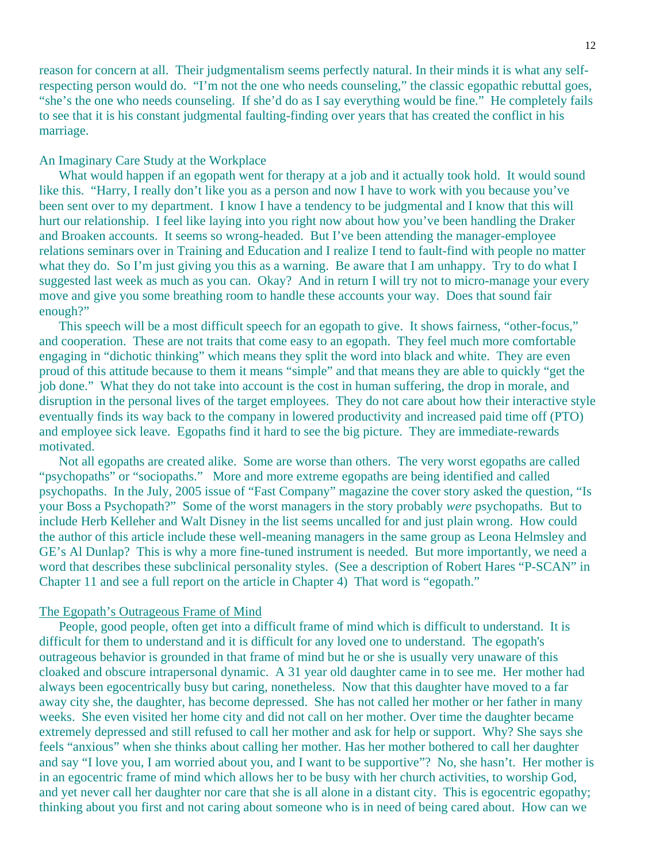reason for concern at all. Their judgmentalism seems perfectly natural. In their minds it is what any selfrespecting person would do. "I'm not the one who needs counseling," the classic egopathic rebuttal goes, "she's the one who needs counseling. If she'd do as I say everything would be fine." He completely fails to see that it is his constant judgmental faulting-finding over years that has created the conflict in his marriage.

## An Imaginary Care Study at the Workplace

What would happen if an egopath went for therapy at a job and it actually took hold. It would sound like this. "Harry, I really don't like you as a person and now I have to work with you because you've been sent over to my department. I know I have a tendency to be judgmental and I know that this will hurt our relationship. I feel like laying into you right now about how you've been handling the Draker and Broaken accounts. It seems so wrong-headed. But I've been attending the manager-employee relations seminars over in Training and Education and I realize I tend to fault-find with people no matter what they do. So I'm just giving you this as a warning. Be aware that I am unhappy. Try to do what I suggested last week as much as you can. Okay? And in return I will try not to micro-manage your every move and give you some breathing room to handle these accounts your way. Does that sound fair enough?"

 This speech will be a most difficult speech for an egopath to give. It shows fairness, "other-focus," and cooperation. These are not traits that come easy to an egopath. They feel much more comfortable engaging in "dichotic thinking" which means they split the word into black and white. They are even proud of this attitude because to them it means "simple" and that means they are able to quickly "get the job done." What they do not take into account is the cost in human suffering, the drop in morale, and disruption in the personal lives of the target employees. They do not care about how their interactive style eventually finds its way back to the company in lowered productivity and increased paid time off (PTO) and employee sick leave. Egopaths find it hard to see the big picture. They are immediate-rewards motivated.

 Not all egopaths are created alike. Some are worse than others. The very worst egopaths are called "psychopaths" or "sociopaths." More and more extreme egopaths are being identified and called psychopaths. In the July, 2005 issue of "Fast Company" magazine the cover story asked the question, "Is your Boss a Psychopath?" Some of the worst managers in the story probably *were* psychopaths. But to include Herb Kelleher and Walt Disney in the list seems uncalled for and just plain wrong. How could the author of this article include these well-meaning managers in the same group as Leona Helmsley and GE's Al Dunlap? This is why a more fine-tuned instrument is needed. But more importantly, we need a word that describes these subclinical personality styles. (See a description of Robert Hares "P-SCAN" in Chapter 11 and see a full report on the article in Chapter 4) That word is "egopath."

## The Egopath's Outrageous Frame of Mind

People, good people, often get into a difficult frame of mind which is difficult to understand. It is difficult for them to understand and it is difficult for any loved one to understand. The egopath's outrageous behavior is grounded in that frame of mind but he or she is usually very unaware of this cloaked and obscure intrapersonal dynamic. A 31 year old daughter came in to see me. Her mother had always been egocentrically busy but caring, nonetheless. Now that this daughter have moved to a far away city she, the daughter, has become depressed. She has not called her mother or her father in many weeks. She even visited her home city and did not call on her mother. Over time the daughter became extremely depressed and still refused to call her mother and ask for help or support. Why? She says she feels "anxious" when she thinks about calling her mother. Has her mother bothered to call her daughter and say "I love you, I am worried about you, and I want to be supportive"? No, she hasn't. Her mother is in an egocentric frame of mind which allows her to be busy with her church activities, to worship God, and yet never call her daughter nor care that she is all alone in a distant city. This is egocentric egopathy; thinking about you first and not caring about someone who is in need of being cared about. How can we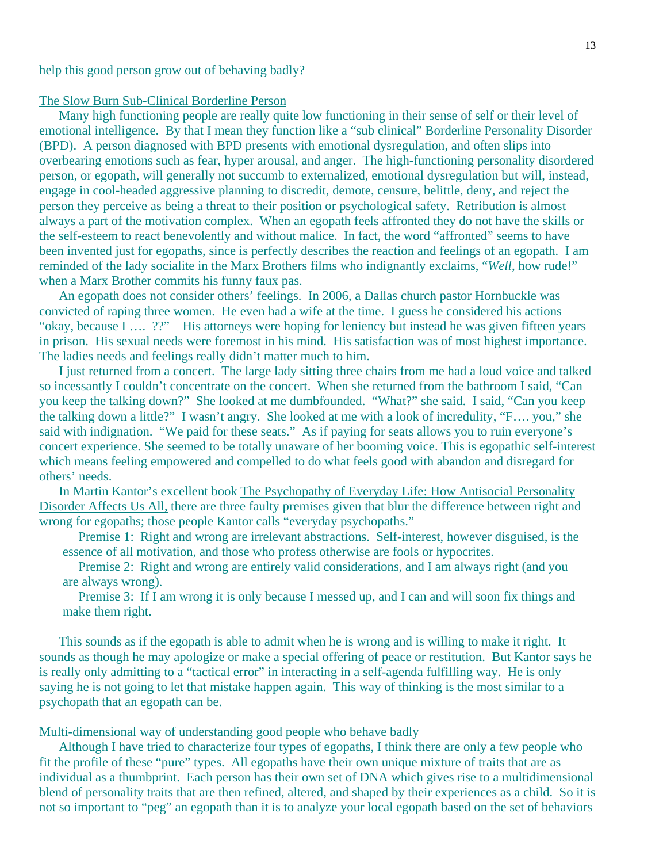help this good person grow out of behaving badly?

#### The Slow Burn Sub-Clinical Borderline Person

 Many high functioning people are really quite low functioning in their sense of self or their level of emotional intelligence. By that I mean they function like a "sub clinical" Borderline Personality Disorder (BPD). A person diagnosed with BPD presents with emotional dysregulation, and often slips into overbearing emotions such as fear, hyper arousal, and anger. The high-functioning personality disordered person, or egopath, will generally not succumb to externalized, emotional dysregulation but will, instead, engage in cool-headed aggressive planning to discredit, demote, censure, belittle, deny, and reject the person they perceive as being a threat to their position or psychological safety. Retribution is almost always a part of the motivation complex. When an egopath feels affronted they do not have the skills or the self-esteem to react benevolently and without malice. In fact, the word "affronted" seems to have been invented just for egopaths, since is perfectly describes the reaction and feelings of an egopath. I am reminded of the lady socialite in the Marx Brothers films who indignantly exclaims, "*Well*, how rude!" when a Marx Brother commits his funny faux pas.

 An egopath does not consider others' feelings. In 2006, a Dallas church pastor Hornbuckle was convicted of raping three women. He even had a wife at the time. I guess he considered his actions "okay, because I …. ??" His attorneys were hoping for leniency but instead he was given fifteen years in prison. His sexual needs were foremost in his mind. His satisfaction was of most highest importance. The ladies needs and feelings really didn't matter much to him.

 I just returned from a concert. The large lady sitting three chairs from me had a loud voice and talked so incessantly I couldn't concentrate on the concert. When she returned from the bathroom I said, "Can you keep the talking down?" She looked at me dumbfounded. "What?" she said. I said, "Can you keep the talking down a little?" I wasn't angry. She looked at me with a look of incredulity, "F…. you," she said with indignation. "We paid for these seats." As if paying for seats allows you to ruin everyone's concert experience. She seemed to be totally unaware of her booming voice. This is egopathic self-interest which means feeling empowered and compelled to do what feels good with abandon and disregard for others' needs.

 In Martin Kantor's excellent book The Psychopathy of Everyday Life: How Antisocial Personality Disorder Affects Us All, there are three faulty premises given that blur the difference between right and wrong for egopaths; those people Kantor calls "everyday psychopaths."

 Premise 1: Right and wrong are irrelevant abstractions. Self-interest, however disguised, is the essence of all motivation, and those who profess otherwise are fools or hypocrites.

 Premise 2: Right and wrong are entirely valid considerations, and I am always right (and you are always wrong).

 Premise 3: If I am wrong it is only because I messed up, and I can and will soon fix things and make them right.

 This sounds as if the egopath is able to admit when he is wrong and is willing to make it right. It sounds as though he may apologize or make a special offering of peace or restitution. But Kantor says he is really only admitting to a "tactical error" in interacting in a self-agenda fulfilling way. He is only saying he is not going to let that mistake happen again. This way of thinking is the most similar to a psychopath that an egopath can be.

## Multi-dimensional way of understanding good people who behave badly

 Although I have tried to characterize four types of egopaths, I think there are only a few people who fit the profile of these "pure" types. All egopaths have their own unique mixture of traits that are as individual as a thumbprint. Each person has their own set of DNA which gives rise to a multidimensional blend of personality traits that are then refined, altered, and shaped by their experiences as a child. So it is not so important to "peg" an egopath than it is to analyze your local egopath based on the set of behaviors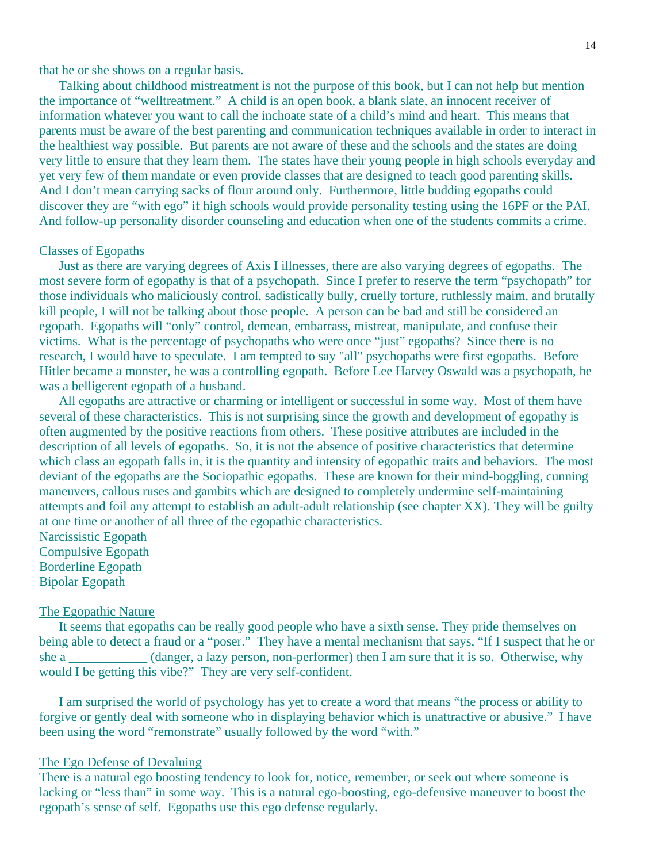that he or she shows on a regular basis.

 Talking about childhood mistreatment is not the purpose of this book, but I can not help but mention the importance of "welltreatment." A child is an open book, a blank slate, an innocent receiver of information whatever you want to call the inchoate state of a child's mind and heart. This means that parents must be aware of the best parenting and communication techniques available in order to interact in the healthiest way possible. But parents are not aware of these and the schools and the states are doing very little to ensure that they learn them. The states have their young people in high schools everyday and yet very few of them mandate or even provide classes that are designed to teach good parenting skills. And I don't mean carrying sacks of flour around only. Furthermore, little budding egopaths could discover they are "with ego" if high schools would provide personality testing using the 16PF or the PAI. And follow-up personality disorder counseling and education when one of the students commits a crime.

## Classes of Egopaths

 Just as there are varying degrees of Axis I illnesses, there are also varying degrees of egopaths. The most severe form of egopathy is that of a psychopath. Since I prefer to reserve the term "psychopath" for those individuals who maliciously control, sadistically bully, cruelly torture, ruthlessly maim, and brutally kill people, I will not be talking about those people. A person can be bad and still be considered an egopath. Egopaths will "only" control, demean, embarrass, mistreat, manipulate, and confuse their victims. What is the percentage of psychopaths who were once "just" egopaths? Since there is no research, I would have to speculate. I am tempted to say "all" psychopaths were first egopaths. Before Hitler became a monster, he was a controlling egopath. Before Lee Harvey Oswald was a psychopath, he was a belligerent egopath of a husband.

 All egopaths are attractive or charming or intelligent or successful in some way. Most of them have several of these characteristics. This is not surprising since the growth and development of egopathy is often augmented by the positive reactions from others. These positive attributes are included in the description of all levels of egopaths. So, it is not the absence of positive characteristics that determine which class an egopath falls in, it is the quantity and intensity of egopathic traits and behaviors. The most deviant of the egopaths are the Sociopathic egopaths. These are known for their mind-boggling, cunning maneuvers, callous ruses and gambits which are designed to completely undermine self-maintaining attempts and foil any attempt to establish an adult-adult relationship (see chapter XX). They will be guilty at one time or another of all three of the egopathic characteristics. Narcissistic Egopath

Compulsive Egopath Borderline Egopath Bipolar Egopath

## The Egopathic Nature

 It seems that egopaths can be really good people who have a sixth sense. They pride themselves on being able to detect a fraud or a "poser." They have a mental mechanism that says, "If I suspect that he or she a \_\_\_\_\_\_\_\_\_\_\_ (danger, a lazy person, non-performer) then I am sure that it is so. Otherwise, why would I be getting this vibe?" They are very self-confident.

 I am surprised the world of psychology has yet to create a word that means "the process or ability to forgive or gently deal with someone who in displaying behavior which is unattractive or abusive." I have been using the word "remonstrate" usually followed by the word "with."

## The Ego Defense of Devaluing

There is a natural ego boosting tendency to look for, notice, remember, or seek out where someone is lacking or "less than" in some way. This is a natural ego-boosting, ego-defensive maneuver to boost the egopath's sense of self. Egopaths use this ego defense regularly.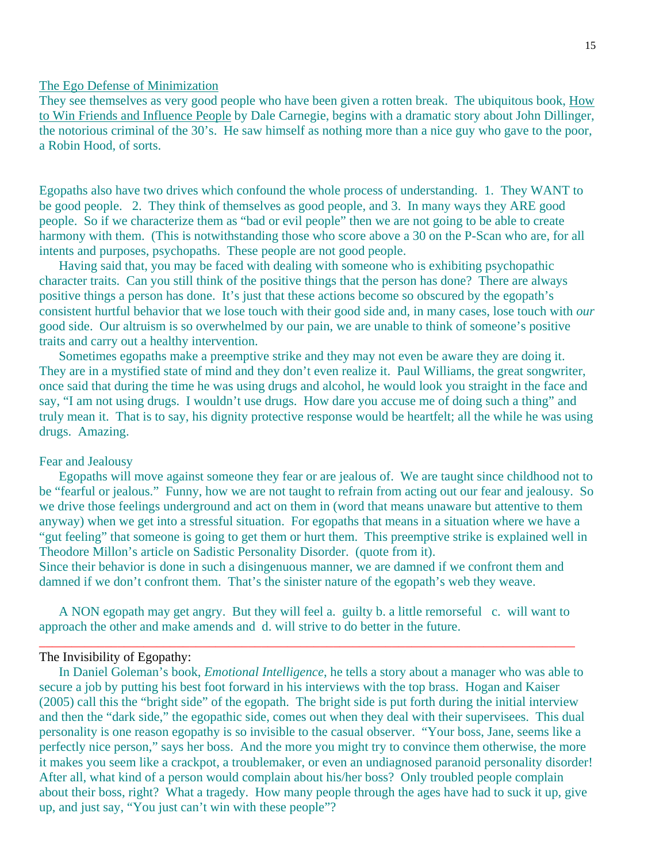## The Ego Defense of Minimization

They see themselves as very good people who have been given a rotten break. The ubiquitous book, How to Win Friends and Influence People by Dale Carnegie, begins with a dramatic story about John Dillinger, the notorious criminal of the 30's. He saw himself as nothing more than a nice guy who gave to the poor, a Robin Hood, of sorts.

Egopaths also have two drives which confound the whole process of understanding. 1. They WANT to be good people. 2. They think of themselves as good people, and 3. In many ways they ARE good people. So if we characterize them as "bad or evil people" then we are not going to be able to create harmony with them. (This is notwithstanding those who score above a 30 on the P-Scan who are, for all intents and purposes, psychopaths. These people are not good people.

 Having said that, you may be faced with dealing with someone who is exhibiting psychopathic character traits. Can you still think of the positive things that the person has done? There are always positive things a person has done. It's just that these actions become so obscured by the egopath's consistent hurtful behavior that we lose touch with their good side and, in many cases, lose touch with *our* good side. Our altruism is so overwhelmed by our pain, we are unable to think of someone's positive traits and carry out a healthy intervention.

 Sometimes egopaths make a preemptive strike and they may not even be aware they are doing it. They are in a mystified state of mind and they don't even realize it. Paul Williams, the great songwriter, once said that during the time he was using drugs and alcohol, he would look you straight in the face and say, "I am not using drugs. I wouldn't use drugs. How dare you accuse me of doing such a thing" and truly mean it. That is to say, his dignity protective response would be heartfelt; all the while he was using drugs. Amazing.

## Fear and Jealousy

 Egopaths will move against someone they fear or are jealous of. We are taught since childhood not to be "fearful or jealous." Funny, how we are not taught to refrain from acting out our fear and jealousy. So we drive those feelings underground and act on them in (word that means unaware but attentive to them anyway) when we get into a stressful situation. For egopaths that means in a situation where we have a "gut feeling" that someone is going to get them or hurt them. This preemptive strike is explained well in Theodore Millon's article on Sadistic Personality Disorder. (quote from it).

Since their behavior is done in such a disingenuous manner, we are damned if we confront them and damned if we don't confront them. That's the sinister nature of the egopath's web they weave.

 A NON egopath may get angry. But they will feel a. guilty b. a little remorseful c. will want to approach the other and make amends and d. will strive to do better in the future.

\_\_\_\_\_\_\_\_\_\_\_\_\_\_\_\_\_\_\_\_\_\_\_\_\_\_\_\_\_\_\_\_\_\_\_\_\_\_\_\_\_\_\_\_\_\_\_\_\_\_\_\_\_\_\_\_\_\_\_\_\_\_\_\_\_\_\_\_\_\_\_\_\_\_\_\_\_\_\_\_\_\_

#### The Invisibility of Egopathy:

 In Daniel Goleman's book, *Emotional Intelligence*, he tells a story about a manager who was able to secure a job by putting his best foot forward in his interviews with the top brass. Hogan and Kaiser (2005) call this the "bright side" of the egopath. The bright side is put forth during the initial interview and then the "dark side," the egopathic side, comes out when they deal with their supervisees. This dual personality is one reason egopathy is so invisible to the casual observer. "Your boss, Jane, seems like a perfectly nice person," says her boss. And the more you might try to convince them otherwise, the more it makes you seem like a crackpot, a troublemaker, or even an undiagnosed paranoid personality disorder! After all, what kind of a person would complain about his/her boss? Only troubled people complain about their boss, right? What a tragedy. How many people through the ages have had to suck it up, give up, and just say, "You just can't win with these people"?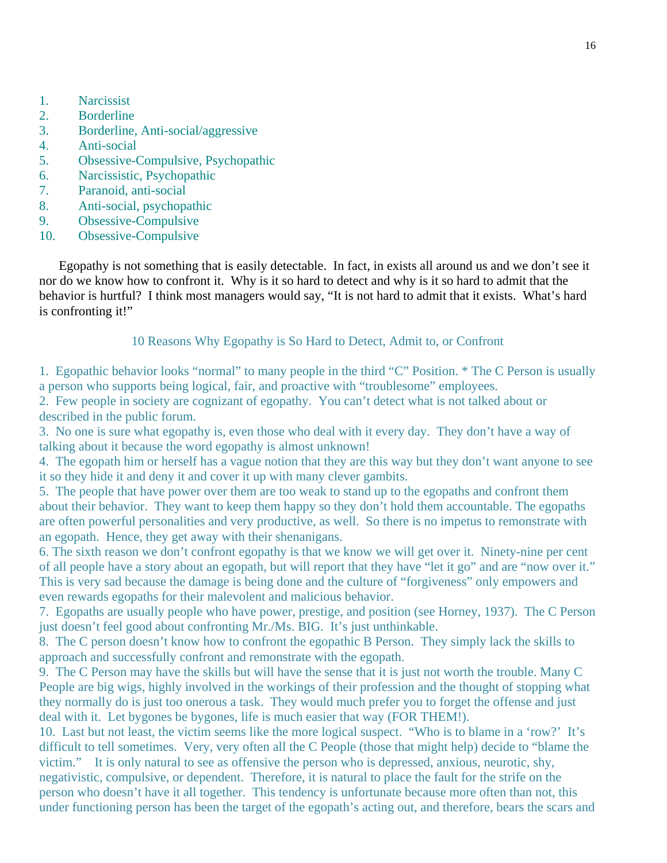- 1. Narcissist
- 2. Borderline
- 3. Borderline, Anti-social/aggressive
- 4. Anti-social
- 5. Obsessive-Compulsive, Psychopathic
- 6. Narcissistic, Psychopathic
- 7. Paranoid, anti-social
- 8. Anti-social, psychopathic
- 9. Obsessive-Compulsive
- 10. Obsessive-Compulsive

 Egopathy is not something that is easily detectable. In fact, in exists all around us and we don't see it nor do we know how to confront it. Why is it so hard to detect and why is it so hard to admit that the behavior is hurtful? I think most managers would say, "It is not hard to admit that it exists. What's hard is confronting it!"

## 10 Reasons Why Egopathy is So Hard to Detect, Admit to, or Confront

1. Egopathic behavior looks "normal" to many people in the third "C" Position. \* The C Person is usually a person who supports being logical, fair, and proactive with "troublesome" employees.

2. Few people in society are cognizant of egopathy. You can't detect what is not talked about or described in the public forum.

3. No one is sure what egopathy is, even those who deal with it every day. They don't have a way of talking about it because the word egopathy is almost unknown!

4. The egopath him or herself has a vague notion that they are this way but they don't want anyone to see it so they hide it and deny it and cover it up with many clever gambits.

5. The people that have power over them are too weak to stand up to the egopaths and confront them about their behavior. They want to keep them happy so they don't hold them accountable. The egopaths are often powerful personalities and very productive, as well. So there is no impetus to remonstrate with an egopath. Hence, they get away with their shenanigans.

6. The sixth reason we don't confront egopathy is that we know we will get over it. Ninety-nine per cent of all people have a story about an egopath, but will report that they have "let it go" and are "now over it." This is very sad because the damage is being done and the culture of "forgiveness" only empowers and even rewards egopaths for their malevolent and malicious behavior.

7. Egopaths are usually people who have power, prestige, and position (see Horney, 1937). The C Person just doesn't feel good about confronting Mr./Ms. BIG. It's just unthinkable.

8. The C person doesn't know how to confront the egopathic B Person. They simply lack the skills to approach and successfully confront and remonstrate with the egopath.

9. The C Person may have the skills but will have the sense that it is just not worth the trouble. Many C People are big wigs, highly involved in the workings of their profession and the thought of stopping what they normally do is just too onerous a task. They would much prefer you to forget the offense and just deal with it. Let bygones be bygones, life is much easier that way (FOR THEM!).

10. Last but not least, the victim seems like the more logical suspect. "Who is to blame in a 'row?' It's difficult to tell sometimes. Very, very often all the C People (those that might help) decide to "blame the victim." It is only natural to see as offensive the person who is depressed, anxious, neurotic, shy, negativistic, compulsive, or dependent. Therefore, it is natural to place the fault for the strife on the person who doesn't have it all together. This tendency is unfortunate because more often than not, this under functioning person has been the target of the egopath's acting out, and therefore, bears the scars and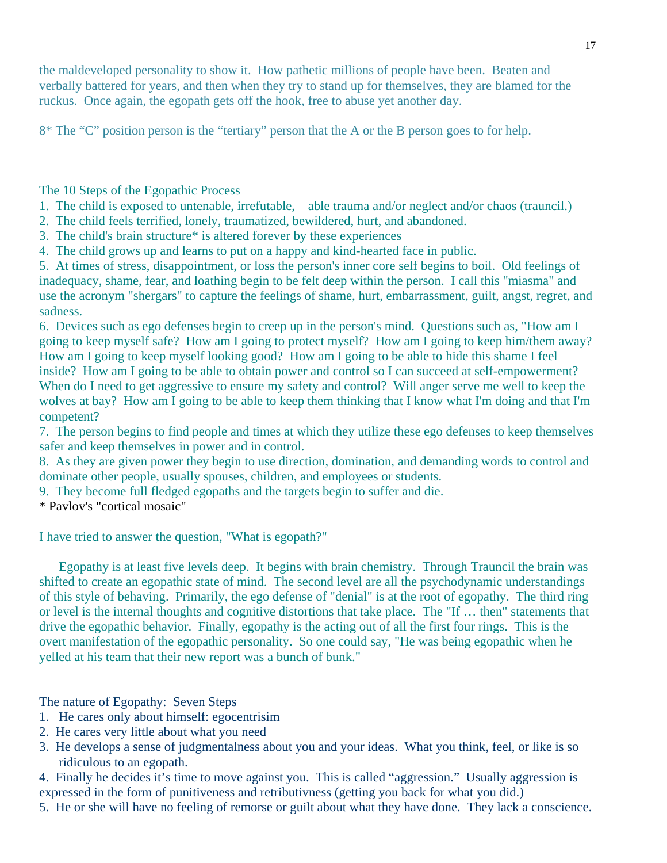the maldeveloped personality to show it. How pathetic millions of people have been. Beaten and verbally battered for years, and then when they try to stand up for themselves, they are blamed for the ruckus. Once again, the egopath gets off the hook, free to abuse yet another day.

8\* The "C" position person is the "tertiary" person that the A or the B person goes to for help.

The 10 Steps of the Egopathic Process

- 1. The child is exposed to untenable, irrefutable, able trauma and/or neglect and/or chaos (trauncil.)
- 2. The child feels terrified, lonely, traumatized, bewildered, hurt, and abandoned.
- 3. The child's brain structure\* is altered forever by these experiences
- 4. The child grows up and learns to put on a happy and kind-hearted face in public.

5. At times of stress, disappointment, or loss the person's inner core self begins to boil. Old feelings of inadequacy, shame, fear, and loathing begin to be felt deep within the person. I call this "miasma" and use the acronym "shergars" to capture the feelings of shame, hurt, embarrassment, guilt, angst, regret, and sadness.

6. Devices such as ego defenses begin to creep up in the person's mind. Questions such as, "How am I going to keep myself safe? How am I going to protect myself? How am I going to keep him/them away? How am I going to keep myself looking good? How am I going to be able to hide this shame I feel inside? How am I going to be able to obtain power and control so I can succeed at self-empowerment? When do I need to get aggressive to ensure my safety and control? Will anger serve me well to keep the wolves at bay? How am I going to be able to keep them thinking that I know what I'm doing and that I'm competent?

7. The person begins to find people and times at which they utilize these ego defenses to keep themselves safer and keep themselves in power and in control.

8. As they are given power they begin to use direction, domination, and demanding words to control and dominate other people, usually spouses, children, and employees or students.

9. They become full fledged egopaths and the targets begin to suffer and die.

\* Pavlov's "cortical mosaic"

I have tried to answer the question, "What is egopath?"

 Egopathy is at least five levels deep. It begins with brain chemistry. Through Trauncil the brain was shifted to create an egopathic state of mind. The second level are all the psychodynamic understandings of this style of behaving. Primarily, the ego defense of "denial" is at the root of egopathy. The third ring or level is the internal thoughts and cognitive distortions that take place. The "If … then" statements that drive the egopathic behavior. Finally, egopathy is the acting out of all the first four rings. This is the overt manifestation of the egopathic personality. So one could say, "He was being egopathic when he yelled at his team that their new report was a bunch of bunk."

The nature of Egopathy: Seven Steps

- 1. He cares only about himself: egocentrisim
- 2. He cares very little about what you need
- 3. He develops a sense of judgmentalness about you and your ideas. What you think, feel, or like is so ridiculous to an egopath.

4. Finally he decides it's time to move against you. This is called "aggression." Usually aggression is expressed in the form of punitiveness and retributivness (getting you back for what you did.)

5. He or she will have no feeling of remorse or guilt about what they have done. They lack a conscience.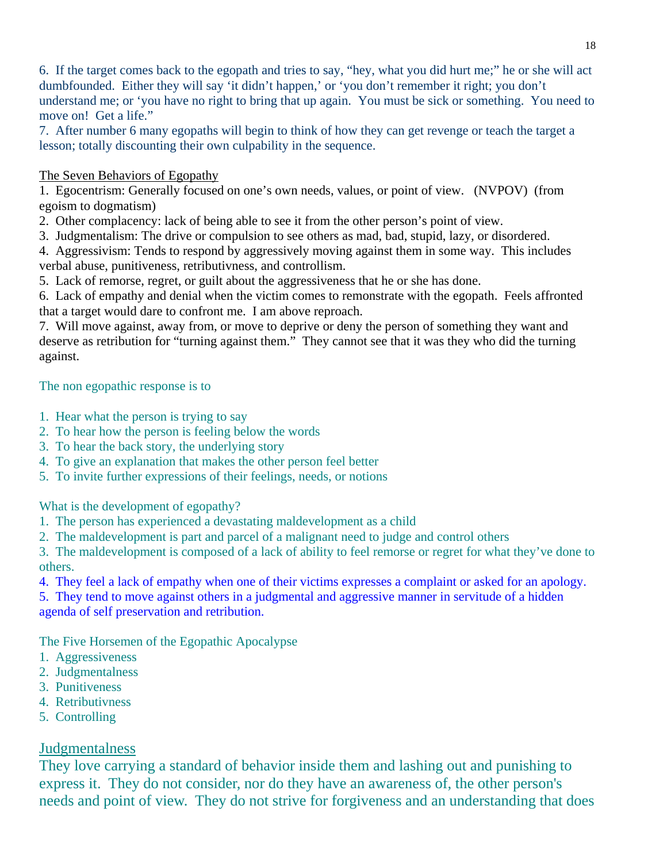6. If the target comes back to the egopath and tries to say, "hey, what you did hurt me;" he or she will act dumbfounded. Either they will say 'it didn't happen,' or 'you don't remember it right; you don't understand me; or 'you have no right to bring that up again. You must be sick or something. You need to move on! Get a life."

7. After number 6 many egopaths will begin to think of how they can get revenge or teach the target a lesson; totally discounting their own culpability in the sequence.

# The Seven Behaviors of Egopathy

1. Egocentrism: Generally focused on one's own needs, values, or point of view. (NVPOV) (from egoism to dogmatism)

2. Other complacency: lack of being able to see it from the other person's point of view.

3. Judgmentalism: The drive or compulsion to see others as mad, bad, stupid, lazy, or disordered.

4. Aggressivism: Tends to respond by aggressively moving against them in some way. This includes verbal abuse, punitiveness, retributivness, and controllism.

5. Lack of remorse, regret, or guilt about the aggressiveness that he or she has done.

6. Lack of empathy and denial when the victim comes to remonstrate with the egopath. Feels affronted that a target would dare to confront me. I am above reproach.

7. Will move against, away from, or move to deprive or deny the person of something they want and deserve as retribution for "turning against them." They cannot see that it was they who did the turning against.

# The non egopathic response is to

- 1. Hear what the person is trying to say
- 2. To hear how the person is feeling below the words
- 3. To hear the back story, the underlying story
- 4. To give an explanation that makes the other person feel better
- 5. To invite further expressions of their feelings, needs, or notions

What is the development of egopathy?

- 1. The person has experienced a devastating maldevelopment as a child
- 2. The maldevelopment is part and parcel of a malignant need to judge and control others

3. The maldevelopment is composed of a lack of ability to feel remorse or regret for what they've done to others.

4. They feel a lack of empathy when one of their victims expresses a complaint or asked for an apology.

5. They tend to move against others in a judgmental and aggressive manner in servitude of a hidden agenda of self preservation and retribution.

The Five Horsemen of the Egopathic Apocalypse

- 1. Aggressiveness
- 2. Judgmentalness
- 3. Punitiveness
- 4. Retributivness
- 5. Controlling

# Judgmentalness

They love carrying a standard of behavior inside them and lashing out and punishing to express it. They do not consider, nor do they have an awareness of, the other person's needs and point of view. They do not strive for forgiveness and an understanding that does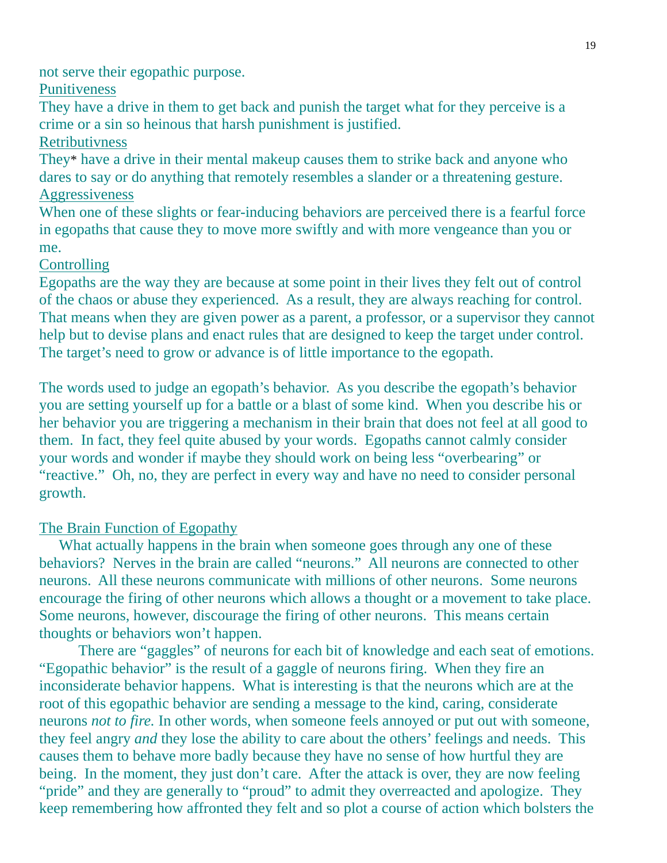not serve their egopathic purpose.

## **Punitiveness**

They have a drive in them to get back and punish the target what for they perceive is a crime or a sin so heinous that harsh punishment is justified.

## Retributivness

They\* have a drive in their mental makeup causes them to strike back and anyone who dares to say or do anything that remotely resembles a slander or a threatening gesture. **Aggressiveness** 

When one of these slights or fear-inducing behaviors are perceived there is a fearful force in egopaths that cause they to move more swiftly and with more vengeance than you or me.

# **Controlling**

Egopaths are the way they are because at some point in their lives they felt out of control of the chaos or abuse they experienced. As a result, they are always reaching for control. That means when they are given power as a parent, a professor, or a supervisor they cannot help but to devise plans and enact rules that are designed to keep the target under control. The target's need to grow or advance is of little importance to the egopath.

The words used to judge an egopath's behavior. As you describe the egopath's behavior you are setting yourself up for a battle or a blast of some kind. When you describe his or her behavior you are triggering a mechanism in their brain that does not feel at all good to them. In fact, they feel quite abused by your words. Egopaths cannot calmly consider your words and wonder if maybe they should work on being less "overbearing" or "reactive." Oh, no, they are perfect in every way and have no need to consider personal growth.

# The Brain Function of Egopathy

What actually happens in the brain when someone goes through any one of these behaviors? Nerves in the brain are called "neurons." All neurons are connected to other neurons. All these neurons communicate with millions of other neurons. Some neurons encourage the firing of other neurons which allows a thought or a movement to take place. Some neurons, however, discourage the firing of other neurons. This means certain thoughts or behaviors won't happen.

 There are "gaggles" of neurons for each bit of knowledge and each seat of emotions. "Egopathic behavior" is the result of a gaggle of neurons firing. When they fire an inconsiderate behavior happens. What is interesting is that the neurons which are at the root of this egopathic behavior are sending a message to the kind, caring, considerate neurons *not to fire.* In other words, when someone feels annoyed or put out with someone, they feel angry *and* they lose the ability to care about the others' feelings and needs. This causes them to behave more badly because they have no sense of how hurtful they are being. In the moment, they just don't care. After the attack is over, they are now feeling "pride" and they are generally to "proud" to admit they overreacted and apologize. They keep remembering how affronted they felt and so plot a course of action which bolsters the